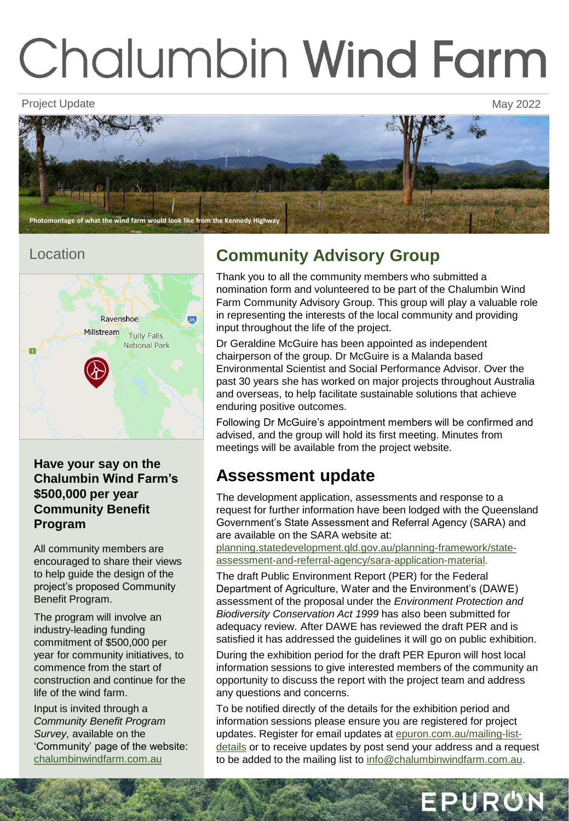# **Chalumbin Wind Farm**

Project Update May 2022



#### Location



**Have your say on the Chalumbin Wind Farm's \$500,000 per year Community Benefit Program** 

All community members are encouraged to share their views to help guide the design of the project's proposed Community Benefit Program.

The program will involve an industry-leading funding commitment of \$500,000 per year for community initiatives, to commence from the start of construction and continue for the life of the wind farm.

Input is invited through a *Community Benefit Program Survey,* available on the 'Community' page of the website: [chalumbinwindfarm.com.au](https://epuron.com.au/wind/chalumbin/) 

## **Community Advisory Group**

Thank you to all the community members who submitted a nomination form and volunteered to be part of the Chalumbin Wind Farm Community Advisory Group. This group will play a valuable role in representing the interests of the local community and providing input throughout the life of the project.

Dr Geraldine McGuire has been appointed as independent chairperson of the group. Dr McGuire is a Malanda based Environmental Scientist and Social Performance Advisor. Over the past 30 years she has worked on major projects throughout Australia and overseas, to help facilitate sustainable solutions that achieve enduring positive outcomes.

Following Dr McGuire's appointment members will be confirmed and advised, and the group will hold its first meeting. Minutes from meetings will be available from the project website.

## **Assessment update**

The development application, assessments and response to a request for further information have been lodged with the Queensland Government's State Assessment and Referral Agency (SARA) and are available on the SARA website at:

planning.statedevelopment.qld.gov.au/planning-framework/state[assessment-and-referral-agency/sara-application-material.](https://planning.statedevelopment.qld.gov.au/planning-framework/state-assessment-and-referral-agency/sara-application-material) 

The draft Public Environment Report (PER) for the Federal Department of Agriculture, Water and the Environment's (DAWE) assessment of the proposal under the *Environment Protection and Biodiversity Conservation Act 1999* has also been submitted for adequacy review. After DAWE has reviewed the draft PER and is satisfied it has addressed the guidelines it will go on public exhibition.

During the exhibition period for the draft PER Epuron will host local information sessions to give interested members of the community an opportunity to discuss the report with the project team and address any questions and concerns.

To be notified directly of the details for the exhibition period and information sessions please ensure you are registered for project updates. Register for email updates at epuron.com.au/mailing-listdetails [or to receive updates by post send your address and a requ](https://epuron.com.au/mailing-list-details/)est to be added to the mailing list to [info@chalumbinwindfarm.com.au.](mailto:info@chalumbinwindfarm.com.au)

EPURON